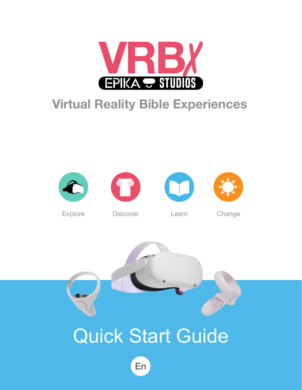

### **Virtual Reality Bible Experiences**





Explore Discover Learn Change

# Quick Start Guide

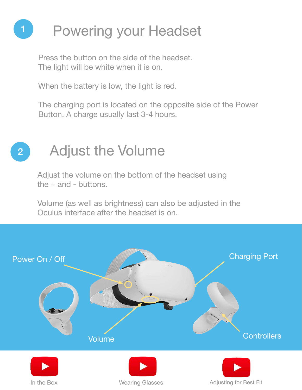



Press the button on the side of the headset. The light will be white when it is on.

When the battery is low, the light is red.

The charging port is located on the opposite side of the Power Button. A charge usually last 3-4 hours.

## Adjust the Volume













Adjust the volume on the bottom of the headset using the + and - buttons.

Volume (as well as brightness) can also be adjusted in the Oculus interface after the headset is on.

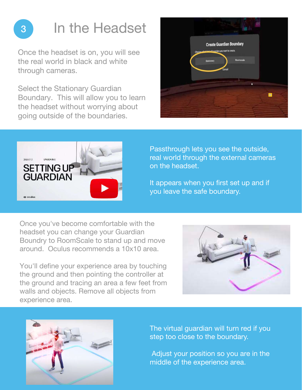

<sup>3</sup> In the Headset

Once the headset is on, you will see the real world in black and white through cameras.

Select the Stationary Guardian Boundary. This will allow you to learn the headset without worrying about going outside of the boundaries.





Once you've become comfortable with the headset you can change your Guardian Boundry to RoomScale to stand up and move around. Oculus recommends a 10x10 area.

You'll define your experience area by touching the ground and then pointing the controller at the ground and tracing an area a few feet from walls and objects. Remove all objects from experience area.





Passthrough lets you see the outside, real world through the external cameras on the headset.

It appears when you first set up and if you leave the safe boundary.

The virtual guardian will turn red if you step too close to the boundary.

Adjust your position so you are in the

middle of the experience area.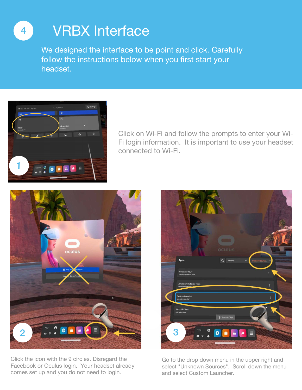We designed the interface to be point and click. Carefully follow the instructions below when you first start your headset.

### Go to the drop down menu in the upper right and select "Unknown Sources". Scroll down the menu

### Click the icon with the 9 circles. Disregard the Facebook or Oculus login. Your headset already comes set up and you do not need to login.

and select Custom Launcher.



### **VRBX Interface**



Click on Wi-Fi and follow the prompts to enter your Wi-Fi login information. It is important to use your headset connected to Wi-Fi.





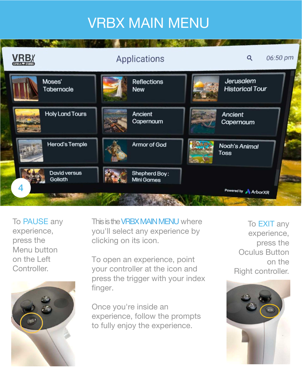This is the VRBX MAIN MENU where you'll select any experience by clicking on its icon.

To open an experience, point your controller at the icon and press the trigger with your index finger.

Once you're inside an experience, follow the prompts to fully enjoy the experience.

To EXIT any experience, press the Oculus Button on the Right controller.









## VRBX MAIN MENU

| <b>VRBX</b>                                 | Applications                  | 06:50 pm<br>Q                       |
|---------------------------------------------|-------------------------------|-------------------------------------|
| Moses'<br>Tabernacle                        | Reflections<br><b>New</b>     | Jerusalem<br><b>Historical Tour</b> |
| <b>Holy Land Tours</b><br><b>CONTRACTOR</b> | Ancient<br>Capernaum<br>$-24$ | Ancient<br>Capernaum                |
| <b>Herod's Temple</b>                       | <b>Armor of God</b>           | <b>Noah's Animal</b><br>Toss        |
| David versus<br>Goliath                     | Shepherd Boy:<br>Mini Games   |                                     |

To PAUSE any experience, press the Menu button on the Left Controller.

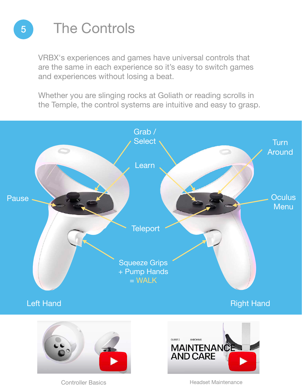

## <sup>5</sup> The Controls

VRBX's experiences and games have universal controls that are the same in each experience so it's easy to switch games and experiences without losing a beat.

Whether you are slinging rocks at Goliath or reading scrolls in the Temple, the control systems are intuitive and easy to grasp.



Left Hand **Right Hand** 





### Controller Basics **Headset Maintenance**

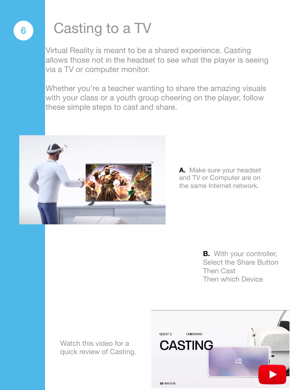## <sup>6</sup> Casting to a TV

Whether you're a teacher wanting to share the amazing visuals with your class or a youth group cheering on the player, follow these simple steps to cast and share.



Virtual Reality is meant to be a shared experience. Casting allows those not in the headset to see what the player is seeing via a TV or computer monitor.

> **A.** Make sure your headset and TV or Computer are on the same Internet network.

> > **B.** With your controller, Select the Share Button Then Cast Then which Device

Watch this video for a